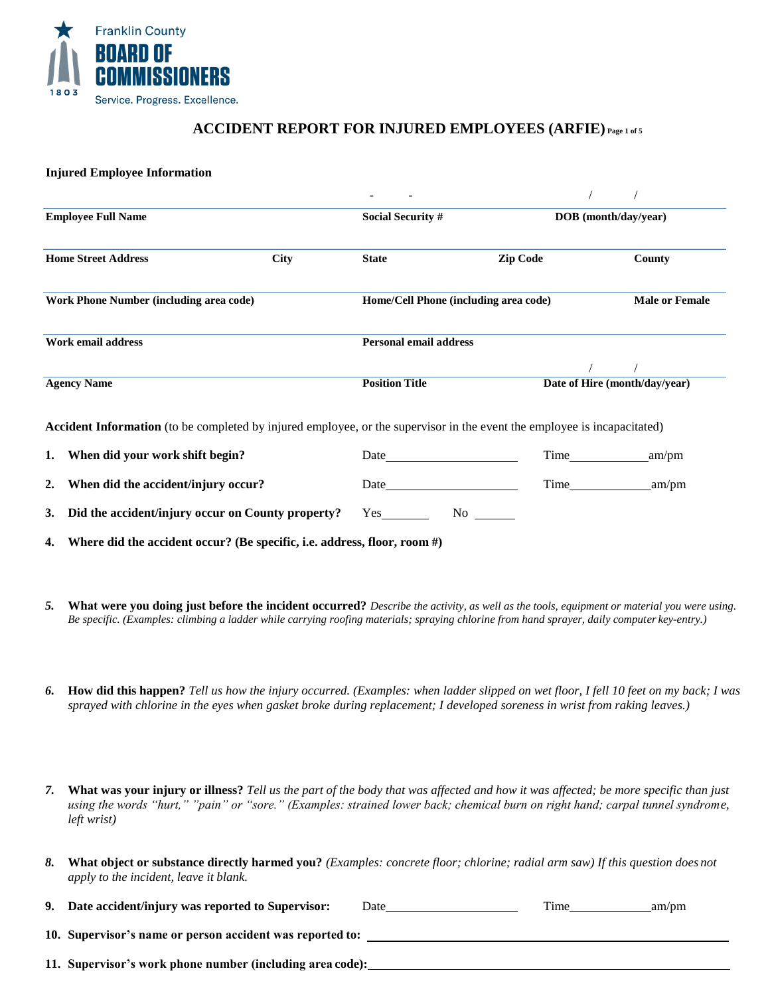

# **ACCIDENT REPORT FOR INJURED EMPLOYEES (ARFIE) Page 1 of 5**

#### **Injured Employee Information**

| <b>Employee Full Name</b>                                                                                                |             | <b>Social Security #</b>                                                                                                                                                                                                      |                                                                                                                                                                                                                                | DOB (month/day/year)          |  |
|--------------------------------------------------------------------------------------------------------------------------|-------------|-------------------------------------------------------------------------------------------------------------------------------------------------------------------------------------------------------------------------------|--------------------------------------------------------------------------------------------------------------------------------------------------------------------------------------------------------------------------------|-------------------------------|--|
| <b>Home Street Address</b>                                                                                               | <b>City</b> | <b>State</b>                                                                                                                                                                                                                  | <b>Zip Code</b>                                                                                                                                                                                                                | County                        |  |
| Work Phone Number (including area code)                                                                                  |             |                                                                                                                                                                                                                               | Home/Cell Phone (including area code)                                                                                                                                                                                          |                               |  |
| Work email address                                                                                                       |             | <b>Personal email address</b>                                                                                                                                                                                                 |                                                                                                                                                                                                                                |                               |  |
| <b>Agency Name</b>                                                                                                       |             | <b>Position Title</b>                                                                                                                                                                                                         |                                                                                                                                                                                                                                | Date of Hire (month/day/year) |  |
| Accident Information (to be completed by injured employee, or the supervisor in the event the employee is incapacitated) |             |                                                                                                                                                                                                                               |                                                                                                                                                                                                                                |                               |  |
| 1. When did your work shift begin?                                                                                       |             | Date and the same state of the state of the state of the state of the state of the state of the state of the state of the state of the state of the state of the state of the state of the state of the state of the state of | <b>Time</b>                                                                                                                                                                                                                    | am/pm                         |  |
| When did the accident/injury occur?<br>2.                                                                                |             | Date and the same state of the state of the state of the state of the state of the state of the state of the state of the state of the state of the state of the state of the state of the state of the state of the state of |                                                                                                                                                                                                                                | am/pm                         |  |
| Did the accident/injury occur on County property?<br>3.                                                                  |             | Yes                                                                                                                                                                                                                           | No note that the same state of the state of the state of the state of the state of the state of the state of the state of the state of the state of the state of the state of the state of the state of the state of the state |                               |  |
| Where did the accident occur? (Be specific, i.e. address, floor, room $#$ )<br>4.                                        |             |                                                                                                                                                                                                                               |                                                                                                                                                                                                                                |                               |  |

- *5.* **What were you doing just before the incident occurred?** *Describe the activity, as well as the tools, equipment or material you were using. Be specific. (Examples: climbing a ladder while carrying roofing materials; spraying chlorine from hand sprayer, daily computer key-entry.)*
- *6.* **How did this happen?** *Tell us how the injury occurred. (Examples: when ladder slipped on wet floor, I fell 10 feet on my back; I was sprayed with chlorine in the eyes when gasket broke during replacement; I developed soreness in wrist from raking leaves.)*
- *7.* **What was your injury or illness?** *Tell us the part of the body that was affected and how it was affected; be more specific than just using the words "hurt," "pain" or "sore." (Examples: strained lower back; chemical burn on right hand; carpal tunnel syndrome, left wrist)*
- *8.* **What object or substance directly harmed you?** *(Examples: concrete floor; chlorine; radial arm saw) If this question does not apply to the incident, leave it blank.*
- **9.** Date accident/injury was reported to Supervisor: Date Time am/pm

**10. Supervisor's name or person accident was reported to:**

**11. Supervisor's work phone number (including area code):**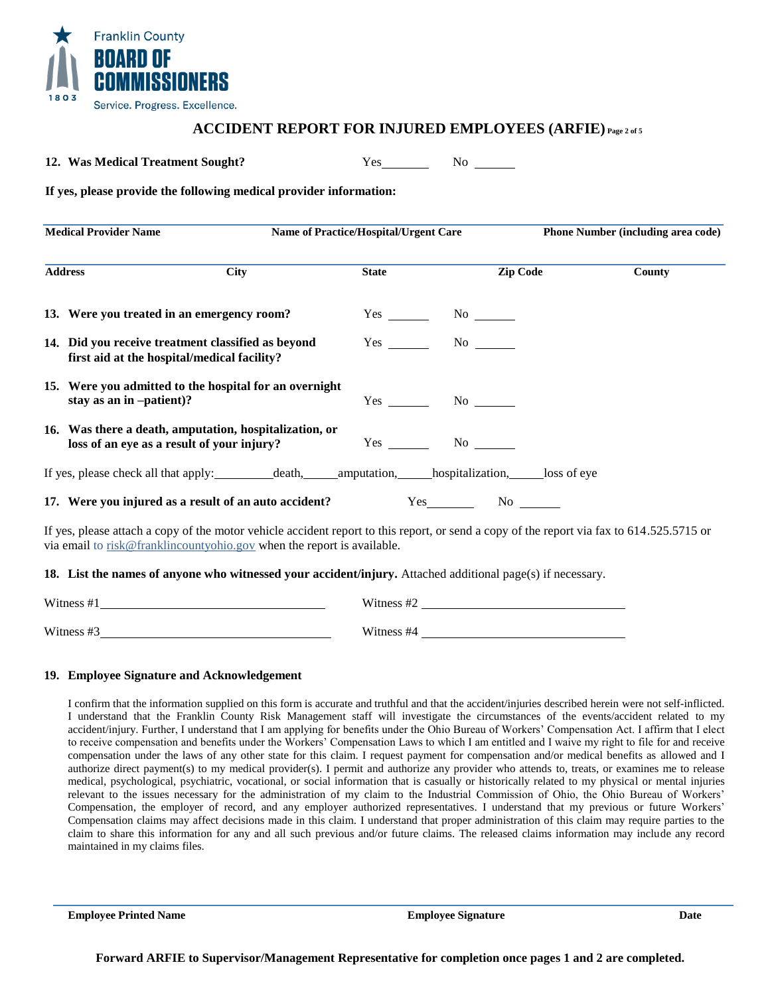

## **ACCIDENT REPORT FOR INJURED EMPLOYEES (ARFIE) Page 2 of 5**

**12. Was Medical Treatment Sought?** Yes No

**If yes, please provide the following medical provider information:**

| <b>Medical Provider Name</b> |                                                                                                                                                                                                                     | <b>Name of Practice/Hospital/Urgent Care</b> |                 | <b>Phone Number (including area code)</b> |               |
|------------------------------|---------------------------------------------------------------------------------------------------------------------------------------------------------------------------------------------------------------------|----------------------------------------------|-----------------|-------------------------------------------|---------------|
|                              | <b>City</b><br><b>Address</b>                                                                                                                                                                                       | <b>State</b>                                 | <b>Zip Code</b> |                                           | <b>County</b> |
|                              | 13. Were you treated in an emergency room?                                                                                                                                                                          |                                              | $Yes$ No $N$    |                                           |               |
|                              | 14. Did you receive treatment classified as beyond<br>first aid at the hospital/medical facility?                                                                                                                   | Yes                                          | $No \ \$        |                                           |               |
|                              | 15. Were you admitted to the hospital for an overnight<br>stay as an in -patient)?                                                                                                                                  | Yes                                          | $No \ \$        |                                           |               |
|                              | 16. Was there a death, amputation, hospitalization, or<br>loss of an eye as a result of your injury?                                                                                                                | Yes                                          | $\rm No$        |                                           |               |
|                              | If yes, please check all that apply: _____________death, _________amputation, _______hospitalization, _______loss of eye                                                                                            |                                              |                 |                                           |               |
|                              | 17. Were you injured as a result of an auto accident?                                                                                                                                                               |                                              | $Yes$ No $N$    |                                           |               |
|                              | If yes, please attach a copy of the motor vehicle accident report to this report, or send a copy of the report via fax to 614.525.5715 or<br>via email to risk@franklincountyohio.gov when the report is available. |                                              |                 |                                           |               |
|                              | 18. List the names of anyone who witnessed your accident/injury. Attached additional page(s) if necessary.                                                                                                          |                                              |                 |                                           |               |

| Witness #1 | Witness #2 |
|------------|------------|
|            |            |
| Witness #3 | Witness #4 |

#### **19. Employee Signature and Acknowledgement**

I confirm that the information supplied on this form is accurate and truthful and that the accident/injuries described herein were not self-inflicted. I understand that the Franklin County Risk Management staff will investigate the circumstances of the events/accident related to my accident/injury. Further, I understand that I am applying for benefits under the Ohio Bureau of Workers' Compensation Act. I affirm that I elect to receive compensation and benefits under the Workers' Compensation Laws to which I am entitled and I waive my right to file for and receive compensation under the laws of any other state for this claim. I request payment for compensation and/or medical benefits as allowed and I authorize direct payment(s) to my medical provider(s). I permit and authorize any provider who attends to, treats, or examines me to release medical, psychological, psychiatric, vocational, or social information that is casually or historically related to my physical or mental injuries relevant to the issues necessary for the administration of my claim to the Industrial Commission of Ohio, the Ohio Bureau of Workers' Compensation, the employer of record, and any employer authorized representatives. I understand that my previous or future Workers' Compensation claims may affect decisions made in this claim. I understand that proper administration of this claim may require parties to the claim to share this information for any and all such previous and/or future claims. The released claims information may include any record maintained in my claims files.

**Employee Printed Name Employee Signature Date**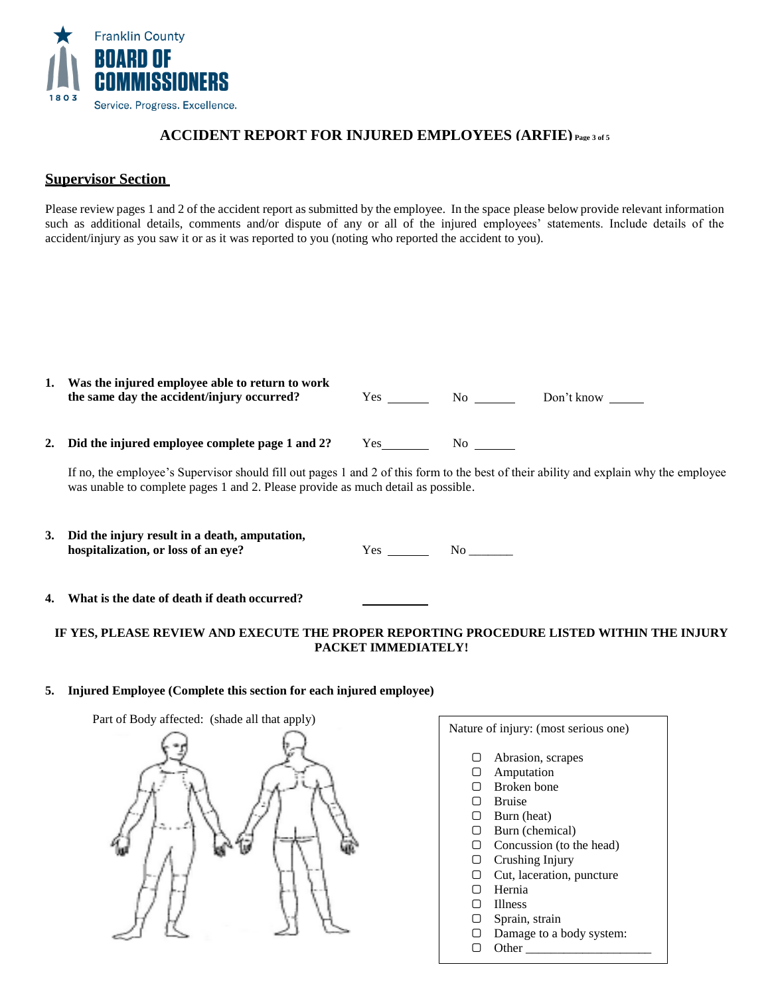

# **ACCIDENT REPORT FOR INJURED EMPLOYEES (ARFIE) Page 3 of 5**

## **Supervisor Section**

Please review pages 1 and 2 of the accident report as submitted by the employee. In the space please below provide relevant information such as additional details, comments and/or dispute of any or all of the injured employees' statements. Include details of the accident/injury as you saw it or as it was reported to you (noting who reported the accident to you).

|    | Was the injured employee able to return to work<br>the same day the accident/injury occurred? | Yes        | No. | Don't know |
|----|-----------------------------------------------------------------------------------------------|------------|-----|------------|
| 2. | Did the injured employee complete page 1 and 2?                                               | <b>Yes</b> | Nο  |            |

If no, the employee's Supervisor should fill out pages 1 and 2 of this form to the best of their ability and explain why the employee was unable to complete pages 1 and 2. Please provide as much detail as possible.

**3. Did the injury result in a death, amputation, hospitalization, or loss of an eye?** Yes No \_\_\_\_\_\_\_

**4. What is the date of death if death occurred?**

## **IF YES, PLEASE REVIEW AND EXECUTE THE PROPER REPORTING PROCEDURE LISTED WITHIN THE INJURY PACKET IMMEDIATELY!**

### **5. Injured Employee (Complete this section for each injured employee)**



# Nature of injury: (most serious one) ▢ Abrasion, scrapes ▢ Amputation ▢ Broken bone ▢ Bruise

- ▢ Burn (heat)
- ▢ Burn (chemical)
- ▢ Concussion (to the head)
- ▢ Crushing Injury
- ▢ Cut, laceration, puncture
- ▢ Hernia
- ▢ Illness
- ▢ Sprain, strain
- ▢ Damage to a body system:
- ▢ Other \_\_\_\_\_\_\_\_\_\_\_\_\_\_\_\_\_\_\_\_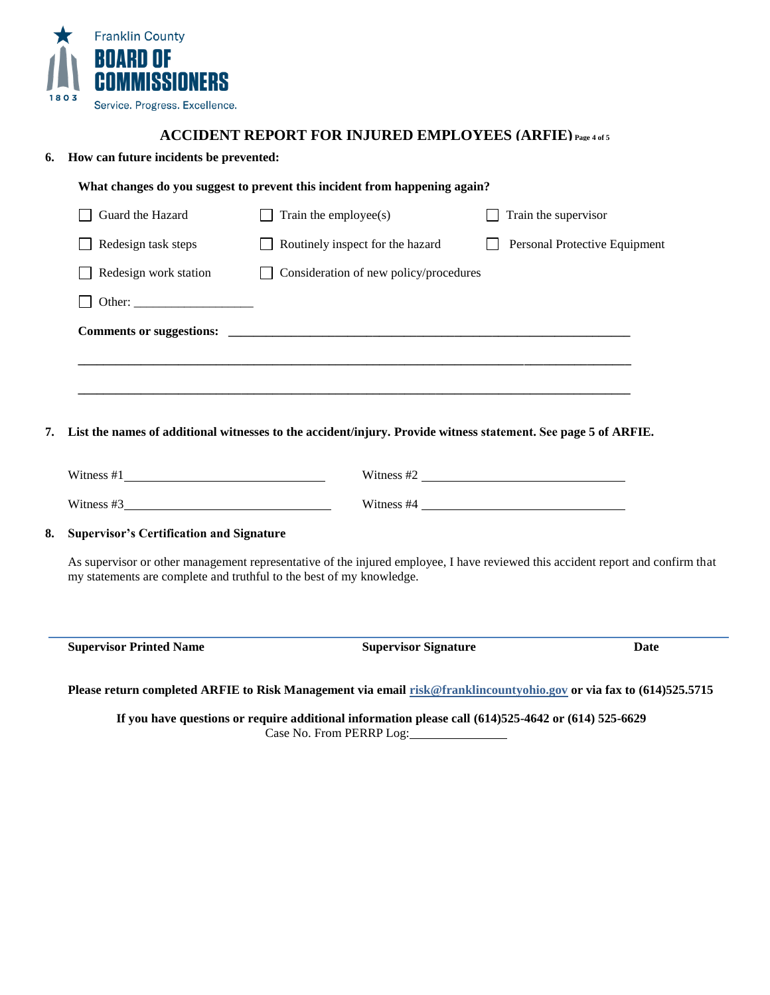

## **ACCIDENT REPORT FOR INJURED EMPLOYEES (ARFIE) Page 4 of 5**

## **6. How can future incidents be prevented:**

| <b>Supervisor's Certification and Signature</b> | As supervisor or other management representative of the injured employee, I have reviewed this accident report and confirm that<br>my statements are complete and truthful to the best of my knowledge. | Witness $#4 \_$               |  |
|-------------------------------------------------|---------------------------------------------------------------------------------------------------------------------------------------------------------------------------------------------------------|-------------------------------|--|
|                                                 |                                                                                                                                                                                                         |                               |  |
|                                                 |                                                                                                                                                                                                         |                               |  |
|                                                 |                                                                                                                                                                                                         |                               |  |
|                                                 |                                                                                                                                                                                                         |                               |  |
|                                                 | List the names of additional witnesses to the accident/injury. Provide witness statement. See page 5 of ARFIE.                                                                                          |                               |  |
|                                                 |                                                                                                                                                                                                         |                               |  |
|                                                 |                                                                                                                                                                                                         |                               |  |
| Redesign work station                           | Consideration of new policy/procedures                                                                                                                                                                  |                               |  |
|                                                 | Routinely inspect for the hazard                                                                                                                                                                        | Personal Protective Equipment |  |
| Redesign task steps                             |                                                                                                                                                                                                         |                               |  |

**If you have questions or require additional information please call (614)525-4642 or (614) 525-6629** Case No. From PERRP Log: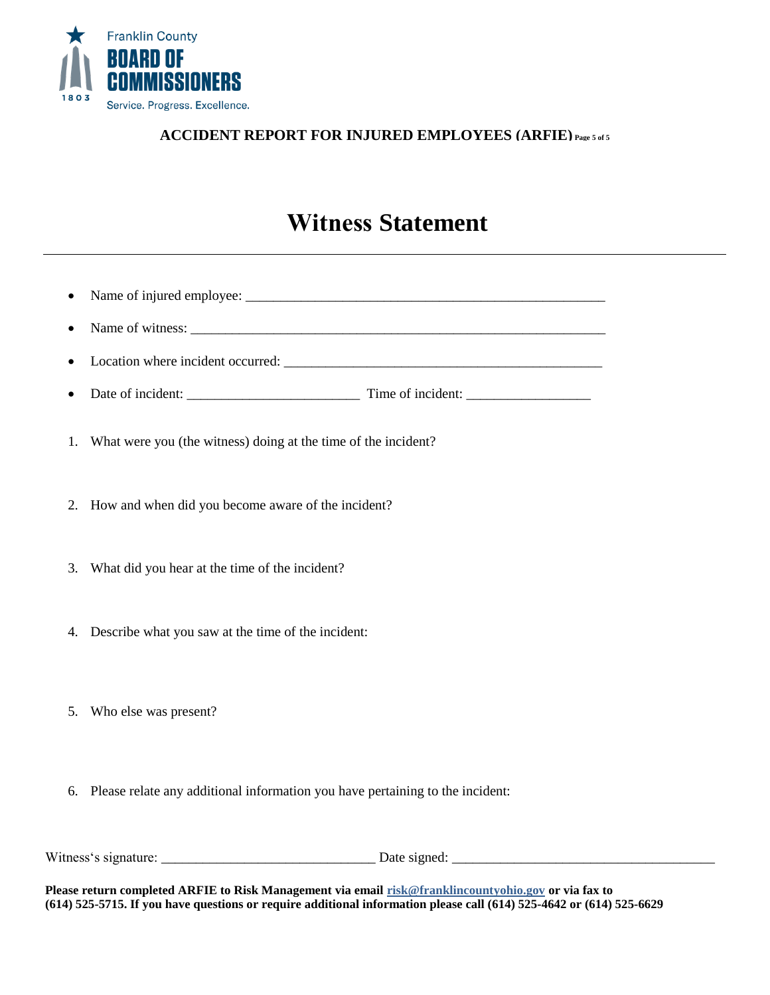

# **ACCIDENT REPORT FOR INJURED EMPLOYEES (ARFIE) Page 5 of 5**

# **Witness Statement**

| • Name of witness:                       |
|------------------------------------------|
|                                          |
| • Date of incident:<br>Time of incident: |

- 1. What were you (the witness) doing at the time of the incident?
- 2. How and when did you become aware of the incident?
- 3. What did you hear at the time of the incident?
- 4. Describe what you saw at the time of the incident:
- 5. Who else was present?
- 6. Please relate any additional information you have pertaining to the incident:

Witness's signature: \_\_\_\_\_\_\_\_\_\_\_\_\_\_\_\_\_\_\_\_\_\_\_\_\_\_\_\_\_\_\_ Date signed: \_\_\_\_\_\_\_\_\_\_\_\_\_\_\_\_\_\_\_\_\_\_\_\_\_\_\_\_\_\_\_\_\_\_\_\_\_\_

**Please return completed ARFIE to Risk Management via email [risk@franklincountyohio.gov](mailto:risk@franklincountyohio.gov) or via fax to (614) 525-5715. If you have questions or require additional information please call (614) 525-4642 or (614) 525-6629**